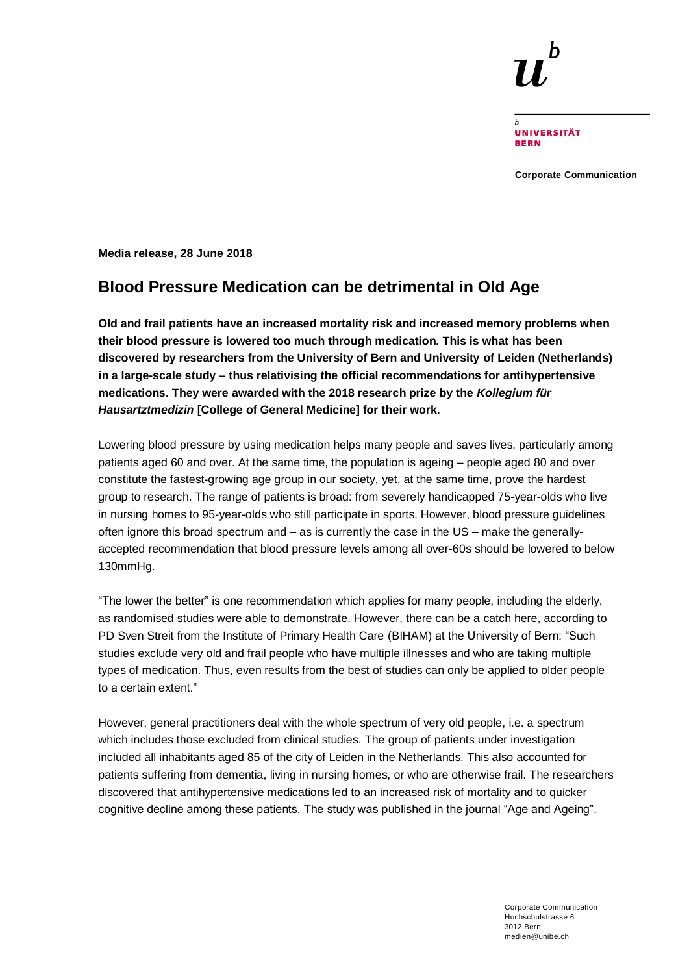**UNIVERSITÄT BERN** 

**Corporate Communication**

**Media release, 28 June 2018**

# **Blood Pressure Medication can be detrimental in Old Age**

**Old and frail patients have an increased mortality risk and increased memory problems when their blood pressure is lowered too much through medication. This is what has been discovered by researchers from the University of Bern and University of Leiden (Netherlands) in a large-scale study – thus relativising the official recommendations for antihypertensive medications. They were awarded with the 2018 research prize by the** *Kollegium für Hausartztmedizin* **[College of General Medicine] for their work.**

Lowering blood pressure by using medication helps many people and saves lives, particularly among patients aged 60 and over. At the same time, the population is ageing – people aged 80 and over constitute the fastest-growing age group in our society, yet, at the same time, prove the hardest group to research. The range of patients is broad: from severely handicapped 75-year-olds who live in nursing homes to 95-year-olds who still participate in sports. However, blood pressure guidelines often ignore this broad spectrum and – as is currently the case in the US – make the generallyaccepted recommendation that blood pressure levels among all over-60s should be lowered to below 130mmHg.

"The lower the better" is one recommendation which applies for many people, including the elderly, as randomised studies were able to demonstrate. However, there can be a catch here, according to PD Sven Streit from the Institute of Primary Health Care (BIHAM) at the University of Bern: "Such studies exclude very old and frail people who have multiple illnesses and who are taking multiple types of medication. Thus, even results from the best of studies can only be applied to older people to a certain extent."

However, general practitioners deal with the whole spectrum of very old people, i.e. a spectrum which includes those excluded from clinical studies. The group of patients under investigation included all inhabitants aged 85 of the city of Leiden in the Netherlands. This also accounted for patients suffering from dementia, living in nursing homes, or who are otherwise frail. The researchers discovered that antihypertensive medications led to an increased risk of mortality and to quicker cognitive decline among these patients. The study was published in the journal "Age and Ageing".

> Corporate Communication Hochschulstrasse 6 3012 Bern medien@unibe.ch